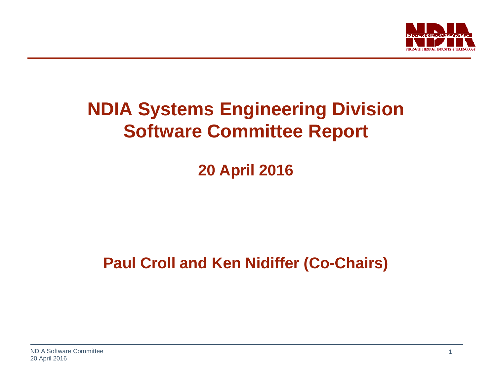

## **NDIA Systems Engineering Division Software Committee Report**

**20 April 2016**

**Paul Croll and Ken Nidiffer (Co-Chairs)**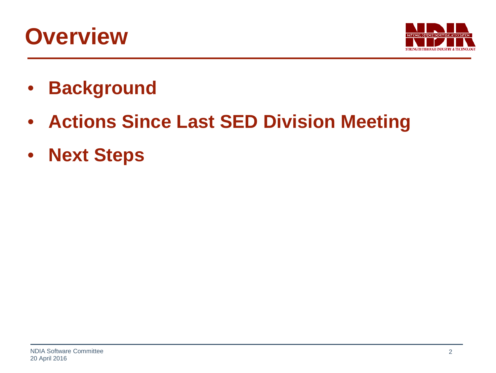## **Overview**



- **Background**
- **Actions Since Last SED Division Meeting**
- **Next Steps**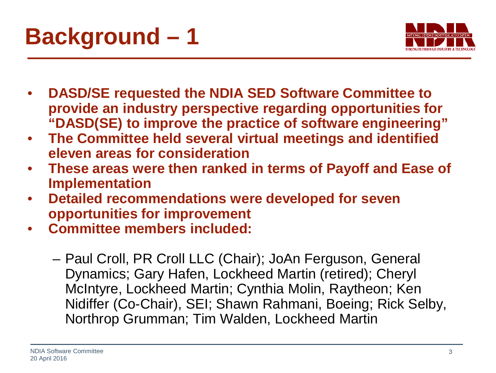



- **DASD/SE requested the NDIA SED Software Committee to provide an industry perspective regarding opportunities for "DASD(SE) to improve the practice of software engineering"**
- **The Committee held several virtual meetings and identified eleven areas for consideration**
- **These areas were then ranked in terms of Payoff and Ease of Implementation**
- **Detailed recommendations were developed for seven opportunities for improvement**
- **Committee members included:**
	- Paul Croll, PR Croll LLC (Chair); JoAn Ferguson, General Dynamics; Gary Hafen, Lockheed Martin (retired); Cheryl McIntyre, Lockheed Martin; Cynthia Molin, Raytheon; Ken Nidiffer (Co-Chair), SEI; Shawn Rahmani, Boeing; Rick Selby, Northrop Grumman; Tim Walden, Lockheed Martin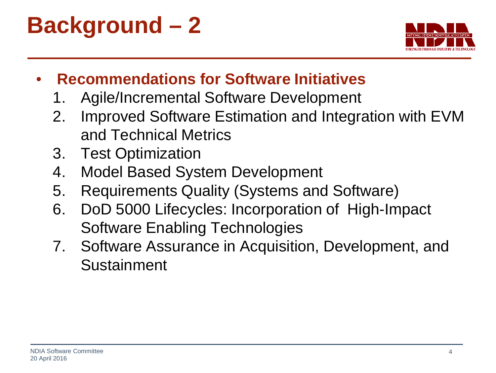**Background – 2**



- **Recommendations for Software Initiatives**
	- 1. Agile/Incremental Software Development
	- 2. Improved Software Estimation and Integration with EVM and Technical Metrics
	- 3. Test Optimization
	- 4. Model Based System Development
	- 5. Requirements Quality (Systems and Software)
	- 6. DoD 5000 Lifecycles: Incorporation of High-Impact Software Enabling Technologies
	- 7. Software Assurance in Acquisition, Development, and Sustainment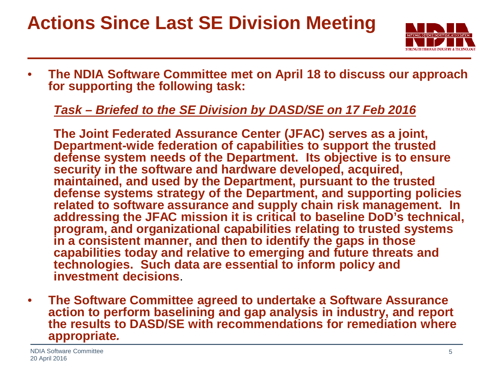## **Actions Since Last SE Division Meeting**



• **The NDIA Software Committee met on April 18 to discuss our approach for supporting the following task:**

#### *Task – Briefed to the SE Division by DASD/SE on 17 Feb 2016*

**The Joint Federated Assurance Center (JFAC) serves as a joint, Department-wide federation of capabilities to support the trusted defense system needs of the Department. Its objective is to ensure security in the software and hardware developed, acquired, maintained, and used by the Department, pursuant to the trusted defense systems strategy of the Department, and supporting policies related to software assurance and supply chain risk management. In addressing the JFAC mission it is critical to baseline DoD's technical, program, and organizational capabilities relating to trusted systems in a consistent manner, and then to identify the gaps in those capabilities today and relative to emerging and future threats and technologies. Such data are essential to inform policy and investment decisions**.

• **The Software Committee agreed to undertake a Software Assurance action to perform baselining and gap analysis in industry, and report the results to DASD/SE with recommendations for remediation where appropriate***.*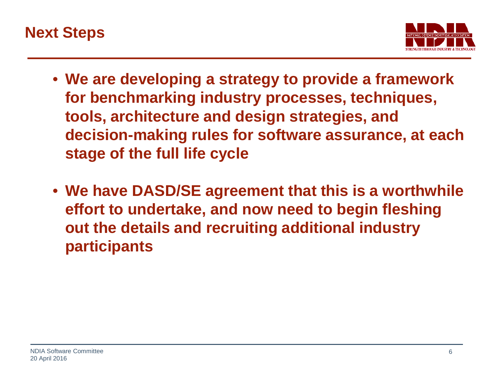



- **We are developing a strategy to provide a framework for benchmarking industry processes, techniques, tools, architecture and design strategies, and decision-making rules for software assurance, at each stage of the full life cycle**
- **We have DASD/SE agreement that this is a worthwhile effort to undertake, and now need to begin fleshing out the details and recruiting additional industry participants**